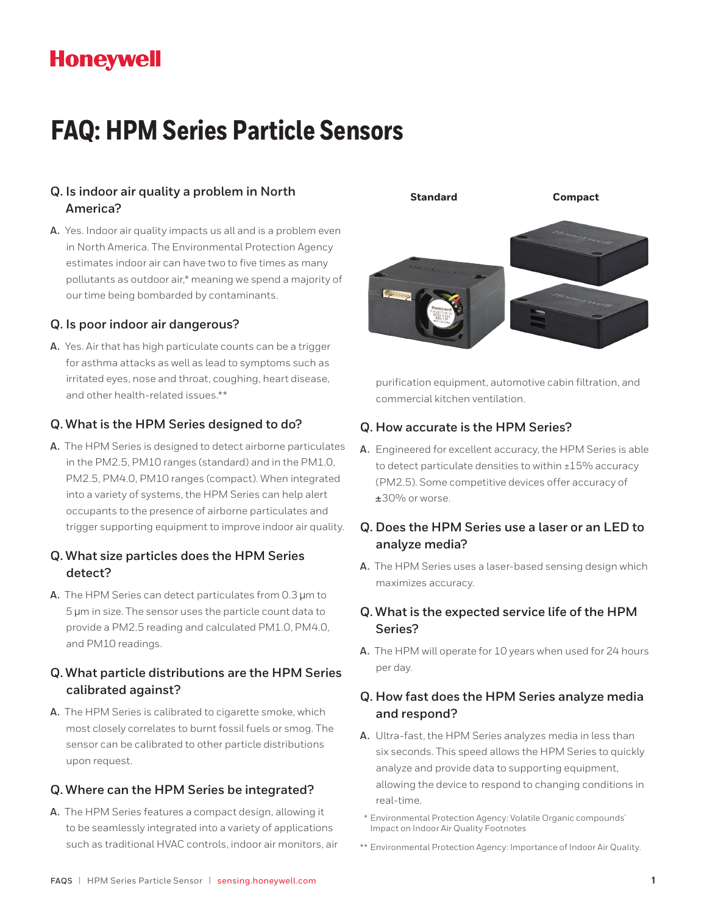## **Honeywell**

# **FAQ: HPM Series Particle Sensors**

## **QQ. Is indoor air quality a problem in North America?**

**AA.** Yes. Indoor air quality impacts us all and is a problem even in North America. The Environmental Protection Agency estimates indoor air can have two to five times as many pollutants as outdoor air,\* meaning we spend a majority of our time being bombarded by contaminants.

#### **QQ. Is poor indoor air dangerous?**

**AA.** Yes. Air that has high particulate counts can be a trigger for asthma attacks as well as lead to symptoms such as irritated eyes, nose and throat, coughing, heart disease, and other health-related issues.\*\*

#### **QQ. What is the HPM Series designed to do?**

**AA.** The HPM Series is designed to detect airborne particulates in the PM2.5, PM10 ranges (standard) and in the PM1.0, PM2.5, PM4.0, PM10 ranges (compact). When integrated into a variety of systems, the HPM Series can help alert occupants to the presence of airborne particulates and trigger supporting equipment to improve indoor air quality.

#### **QQ. What size particles does the HPM Series detect?**

**AA.** The HPM Series can detect particulates from 0.3 µm to 5 µm in size. The sensor uses the particle count data to provide a PM2.5 reading and calculated PM1.0, PM4.0, and PM10 readings.

#### **QQ. What particle distributions are the HPM Series calibrated against?**

**AA.** The HPM Series is calibrated to cigarette smoke, which most closely correlates to burnt fossil fuels or smog. The sensor can be calibrated to other particle distributions upon request.

## **QQ. Where can the HPM Series be integrated?**

**AA.** The HPM Series features a compact design, allowing it to be seamlessly integrated into a variety of applications such as traditional HVAC controls, indoor air monitors, air



purification equipment, automotive cabin filtration, and commercial kitchen ventilation.

#### **QQ. How accurate is the HPM Series?**

**AA.** Engineered for excellent accuracy, the HPM Series is able to detect particulate densities to within ±15% accuracy (PM2.5). Some competitive devices offer accuracy of ±30% or worse.

## **QQ. Does the HPM Series use a laser or an LED to analyze media?**

**AA.** The HPM Series uses a laser-based sensing design which maximizes accuracy.

## **QQ. What is the expected service life of the HPM Series?**

**AA.** The HPM will operate for 10 years when used for 24 hours per day.

## **QQ. How fast does the HPM Series analyze media and respond?**

- **AA.** Ultra-fast, the HPM Series analyzes media in less than six seconds. This speed allows the HPM Series to quickly analyze and provide data to supporting equipment, allowing the device to respond to changing conditions in real-time.
- \* Environmental Protection Agency: Volatile Organic compounds' Impact on Indoor Air Quality Footnotes
- \*\* Environmental Protection Agency: Importance of Indoor Air Quality.